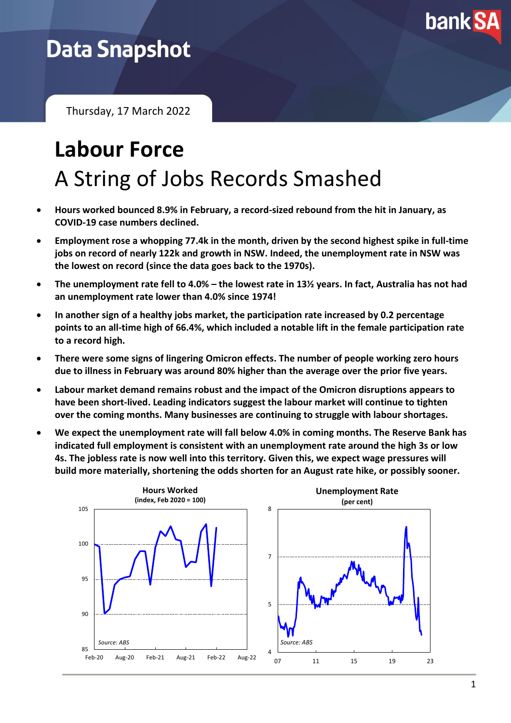

## **Data Snapshot**

Thursday, 17 March 2022

# **Labour Force** A String of Jobs Records Smashed

- **Hours worked bounced 8.9% in February, a record-sized rebound from the hit in January, as COVID-19 case numbers declined.**
- **Employment rose a whopping 77.4k in the month, driven by the second highest spike in full-time jobs on record of nearly 122k and growth in NSW. Indeed, the unemployment rate in NSW was the lowest on record (since the data goes back to the 1970s).**
- **The unemployment rate fell to 4.0% – the lowest rate in 13½ years. In fact, Australia has not had an unemployment rate lower than 4.0% since 1974!**
- **In another sign of a healthy jobs market, the participation rate increased by 0.2 percentage points to an all-time high of 66.4%, which included a notable lift in the female participation rate to a record high.**
- **There were some signs of lingering Omicron effects. The number of people working zero hours due to illness in February was around 80% higher than the average over the prior five years.**
- **Labour market demand remains robust and the impact of the Omicron disruptions appears to have been short-lived. Leading indicators suggest the labour market will continue to tighten over the coming months. Many businesses are continuing to struggle with labour shortages.**
- **We expect the unemployment rate will fall below 4.0% in coming months. The Reserve Bank has indicated full employment is consistent with an unemployment rate around the high 3s or low 4s. The jobless rate is now well into this territory. Given this, we expect wage pressures will build more materially, shortening the odds shorten for an August rate hike, or possibly sooner.**

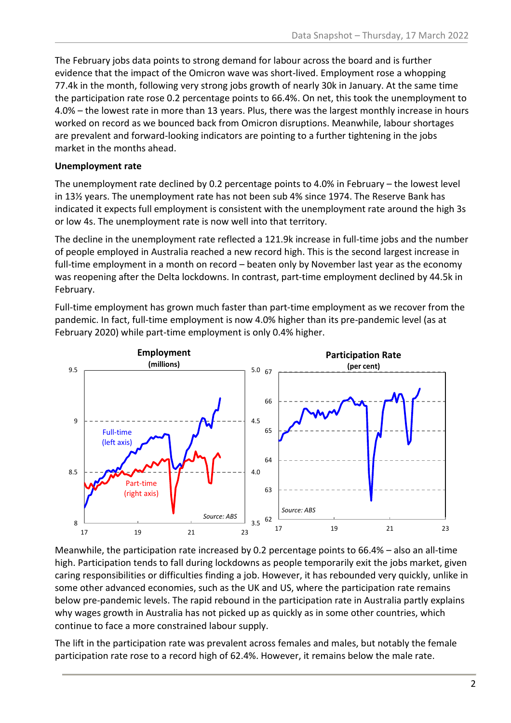The February jobs data points to strong demand for labour across the board and is further evidence that the impact of the Omicron wave was short-lived. Employment rose a whopping 77.4k in the month, following very strong jobs growth of nearly 30k in January. At the same time the participation rate rose 0.2 percentage points to 66.4%. On net, this took the unemployment to 4.0% – the lowest rate in more than 13 years. Plus, there was the largest monthly increase in hours worked on record as we bounced back from Omicron disruptions. Meanwhile, labour shortages are prevalent and forward-looking indicators are pointing to a further tightening in the jobs market in the months ahead.

#### **Unemployment rate**

The unemployment rate declined by 0.2 percentage points to 4.0% in February – the lowest level in 13½ years. The unemployment rate has not been sub 4% since 1974. The Reserve Bank has indicated it expects full employment is consistent with the unemployment rate around the high 3s or low 4s. The unemployment rate is now well into that territory.

The decline in the unemployment rate reflected a 121.9k increase in full-time jobs and the number of people employed in Australia reached a new record high. This is the second largest increase in full-time employment in a month on record – beaten only by November last year as the economy was reopening after the Delta lockdowns. In contrast, part-time employment declined by 44.5k in February.

Full-time employment has grown much faster than part-time employment as we recover from the pandemic. In fact, full-time employment is now 4.0% higher than its pre-pandemic level (as at February 2020) while part-time employment is only 0.4% higher.



Meanwhile, the participation rate increased by 0.2 percentage points to 66.4% – also an all-time high. Participation tends to fall during lockdowns as people temporarily exit the jobs market, given caring responsibilities or difficulties finding a job. However, it has rebounded very quickly, unlike in some other advanced economies, such as the UK and US, where the participation rate remains below pre-pandemic levels. The rapid rebound in the participation rate in Australia partly explains why wages growth in Australia has not picked up as quickly as in some other countries, which continue to face a more constrained labour supply.

The lift in the participation rate was prevalent across females and males, but notably the female participation rate rose to a record high of 62.4%. However, it remains below the male rate.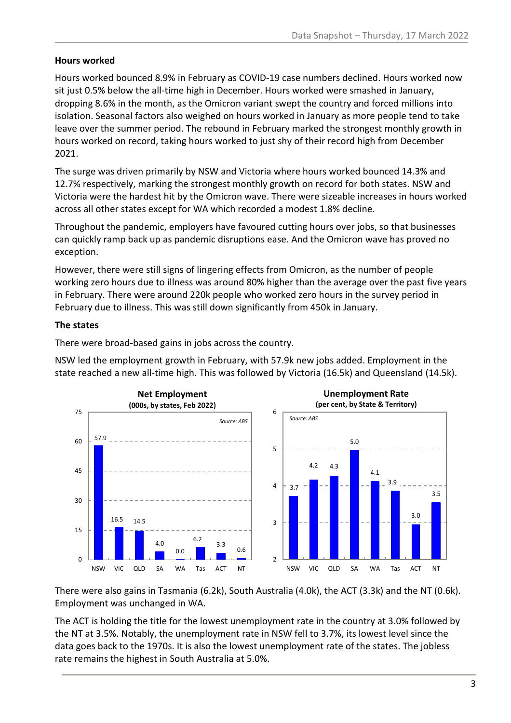#### **Hours worked**

Hours worked bounced 8.9% in February as COVID-19 case numbers declined. Hours worked now sit just 0.5% below the all-time high in December. Hours worked were smashed in January, dropping 8.6% in the month, as the Omicron variant swept the country and forced millions into isolation. Seasonal factors also weighed on hours worked in January as more people tend to take leave over the summer period. The rebound in February marked the strongest monthly growth in hours worked on record, taking hours worked to just shy of their record high from December 2021.

The surge was driven primarily by NSW and Victoria where hours worked bounced 14.3% and 12.7% respectively, marking the strongest monthly growth on record for both states. NSW and Victoria were the hardest hit by the Omicron wave. There were sizeable increases in hours worked across all other states except for WA which recorded a modest 1.8% decline.

Throughout the pandemic, employers have favoured cutting hours over jobs, so that businesses can quickly ramp back up as pandemic disruptions ease. And the Omicron wave has proved no exception.

However, there were still signs of lingering effects from Omicron, as the number of people working zero hours due to illness was around 80% higher than the average over the past five years in February. There were around 220k people who worked zero hours in the survey period in February due to illness. This was still down significantly from 450k in January.

#### **The states**

There were broad-based gains in jobs across the country.

NSW led the employment growth in February, with 57.9k new jobs added. Employment in the state reached a new all-time high. This was followed by Victoria (16.5k) and Queensland (14.5k).



There were also gains in Tasmania (6.2k), South Australia (4.0k), the ACT (3.3k) and the NT (0.6k). Employment was unchanged in WA.

The ACT is holding the title for the lowest unemployment rate in the country at 3.0% followed by the NT at 3.5%. Notably, the unemployment rate in NSW fell to 3.7%, its lowest level since the data goes back to the 1970s. It is also the lowest unemployment rate of the states. The jobless rate remains the highest in South Australia at 5.0%.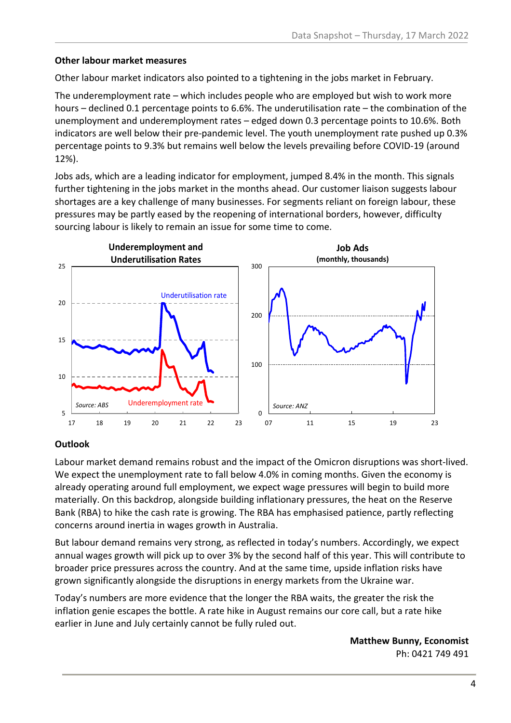#### **Other labour market measures**

Other labour market indicators also pointed to a tightening in the jobs market in February.

The underemployment rate – which includes people who are employed but wish to work more hours – declined 0.1 percentage points to 6.6%. The underutilisation rate – the combination of the unemployment and underemployment rates – edged down 0.3 percentage points to 10.6%. Both indicators are well below their pre-pandemic level. The youth unemployment rate pushed up 0.3% percentage points to 9.3% but remains well below the levels prevailing before COVID-19 (around 12%).

Jobs ads, which are a leading indicator for employment, jumped 8.4% in the month. This signals further tightening in the jobs market in the months ahead. Our customer liaison suggests labour shortages are a key challenge of many businesses. For segments reliant on foreign labour, these pressures may be partly eased by the reopening of international borders, however, difficulty sourcing labour is likely to remain an issue for some time to come.



#### **Outlook**

Labour market demand remains robust and the impact of the Omicron disruptions was short-lived. We expect the unemployment rate to fall below 4.0% in coming months. Given the economy is already operating around full employment, we expect wage pressures will begin to build more materially. On this backdrop, alongside building inflationary pressures, the heat on the Reserve Bank (RBA) to hike the cash rate is growing. The RBA has emphasised patience, partly reflecting concerns around inertia in wages growth in Australia.

But labour demand remains very strong, as reflected in today's numbers. Accordingly, we expect annual wages growth will pick up to over 3% by the second half of this year. This will contribute to broader price pressures across the country. And at the same time, upside inflation risks have grown significantly alongside the disruptions in energy markets from the Ukraine war.

Today's numbers are more evidence that the longer the RBA waits, the greater the risk the inflation genie escapes the bottle. A rate hike in August remains our core call, but a rate hike earlier in June and July certainly cannot be fully ruled out.

> **Matthew Bunny, Economist** Ph: 0421 749 491